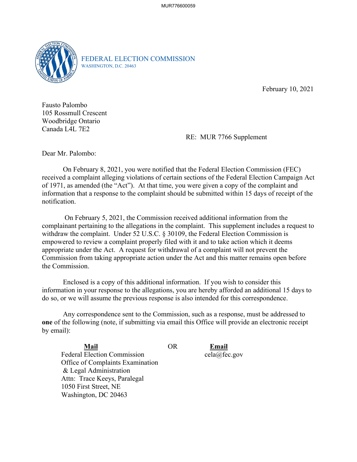

FEDERAL ELECTION COMMISSION WASHINGTON, D.C. 20463

February 10, 2021

 105 Rossmull Crescent Woodbridge Ontario Fausto Palombo Canada L4L 7E2

RE: MUR 7766 Supplement RE: MUR 7766 Supplement<br>Dear Mr. Palombo:

On February 8, 2021, you were notified that the Federal Election Commission (FEC) received a complaint alleging violations of certain sections of the Federal Election Campaign Act of 1971, as amended (the "Act"). At that time, you were given a copy of the complaint and information that a response to the complaint should be submitted within 15 days of receipt of the notification.

 On February 5, 2021, the Commission received additional information from the empowered to review a complaint properly filed with it and to take action which it deems complainant pertaining to the allegations in the complaint. This supplement includes a request to withdraw the complaint. Under 52 U.S.C. § 30109, the Federal Election Commission is appropriate under the Act. A request for withdrawal of a complaint will not prevent the Commission from taking appropriate action under the Act and this matter remains open before the Commission.

 Enclosed is a copy of this additional information. If you wish to consider this information in your response to the allegations, you are hereby afforded an additional 15 days to do so, or we will assume the previous response is also intended for this correspondence.

 Any correspondence sent to the Commission, such as a response, must be addressed to **one** of the following (note, if submitting via email this Office will provide an electronic receipt by email):

**Mail Mail** OR **Email**  Federal Election Commission Office of Complaints Examination & Legal Administration Attn: Trace Keeys, Paralegal 1050 First Street, NE Washington, DC 20463

Email cela@fec.gov